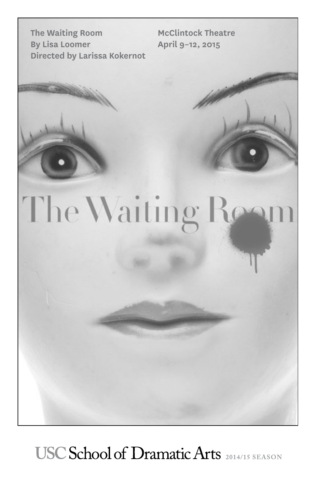**The Waiting Room By Lisa Loomer Directed by Larissa Kokernot**

**McClintock Theatre April 9–12, 2015**

# The Waiting Roo

USC School of Dramatic Arts 2014/15 SEASON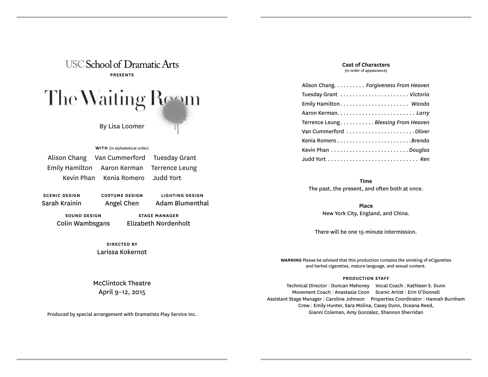

**WITH** (in alphabetical order)

Alison Chang Van Cummerford Tuesday Grant Emily Hamilton Aaron Kerman Terrence Leung Kevin Phan Kenia Romero Judd Yort

**SCENIC DESIGN** Sarah Krainin **COSTUME DESIGN** Angel Chen

**SOUND DESIGN** Colin Wambsgans

**STAGE MANAGER** Elizabeth Nordenholt

**LIGHTING DESIGN** Adam Blumenthal

**DIRECTED BY** Larissa Kokernot **Cast of Characters** (in order of appearance)

| Alison Chang. Forgiveness From Heaven |
|---------------------------------------|
|                                       |
| Emily Hamilton Wanda                  |
|                                       |
| Terrence Leung. Blessing From Heaven  |
| Van Cummerford Oliver                 |
|                                       |
|                                       |
|                                       |

**Time**  The past, the present, and often both at once.

> **Place**  New York City, England, and China.

There will be one 15-minute intermission.

**WARNING** Please be advised that this production contains the smoking of eCigarettes and herbal cigarettes, mature language, and sexual content.

# **PRODUCTION STAFF**

Technical Director | Duncan Mahoney Vocal Coach | Kathleen S. Dunn Movement Coach | Anastasia Coon Scenic Artist | Erin O'Donnell Assistant Stage Manager | Caroline Johnson Properties Coordinator | Hannah Burnham Crew | Emily Hunter, Sara Molina, Casey Dunn, Oceana Reed, Gianni Coleman, Amy Gonzalez, Shannon Sherridan

McClintock Theatre April 9–12, 2015

Produced by special arrangement with Dramatists Play Service Inc.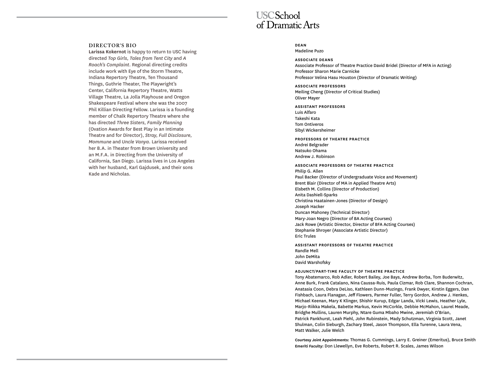# **DIRECTOR'S BIO**

**Larissa Kokernot** is happy to return to USC having directed *Top Girls, Tales from Tent City* and *A Roach's Complaint*. Regional directing credits include work with Eye of the Storm Theatre, Indiana Repertory Theatre, Ten Thousand Things, Guthrie Theater, The Playwright's Center, California Repertory Theatre, Watts Village Theatre, La Jolla Playhouse and Oregon Shakespeare Festival where she was the 2007 Phil Killian Directing Fellow. Larissa is a founding member of Chalk Repertory Theatre where she has directed *Three Sisters, Family Planning* (Ovation Awards for Best Play in an Intimate Theatre and for Director), *Stray, Full Disclosure, Mommune* and *Uncle Vanya*. Larissa received her B.A. in Theater from Brown University and an M.F.A. in Directing from the University of California, San Diego. Larissa lives in Los Angeles with her husband, Karl Gajdusek, and their sons Kade and Nicholas.

# **USCSchool** of Dramatic Arts

# **DEAN**

Madeline Puzo

# **ASSOCIATE DEANS**

Associate Professor of Theatre Practice David Bridel (Director of MFA in Acting) Professor Sharon Marie Carnicke Professor Velina Hasu Houston (Director of Dramatic Writing)

**ASSOCIATE PROFESSORS** Meiling Cheng (Director of Critical Studies) Oliver Mayer

# **ASSISTANT PROFESSORS** Luis Alfaro Takeshi Kata Tom Ontiveros

Sibyl Wickersheimer

**PROFESSORS OF THEATRE PRACTICE** Andrei Belgrader Natsuko Ohama Andrew J. Robinson

# **ASSOCIATE PROFESSORS OF THEATRE PRACTICE**

Philip G. Allen Paul Backer (Director of Undergraduate Voice and Movement) Brent Blair (Director of MA in Applied Theatre Arts) Elsbeth M. Collins (Director of Production) Anita Dashiell-Sparks Christina Haatainen-Jones (Director of Design) Joseph Hacker Duncan Mahoney (Technical Director) Mary-Joan Negro (Director of BA Acting Courses) Jack Rowe (Artistic Director, Director of BFA Acting Courses) Stephanie Shroyer (Associate Artistic Director) Eric Trules

**ASSISTANT PROFESSORS OF THEATRE PRACTICE** Randle Mell John DeMita David Warshofsky

# **ADJUNCT/PART-TIME FACULTY OF THEATRE PRACTICE**

Tony Abatemarco, Rob Adler, Robert Bailey, Joe Bays, Andrew Borba, Tom Buderwitz, Anne Burk, Frank Catalano, Nina Caussa-Ruis, Paula Cizmar, Rob Clare, Shannon Cochran, Anatasia Coon, Debra DeLiso, Kathleen Dunn-Muzingo, Frank Dwyer, Kirstin Eggers, Dan Fishbach, Laura Flanagan, Jeff Flowers, Parmer Fuller, Terry Gordon, Andrew J. Henkes, Michael Keenan, Mary K Klinger, Shishir Kurup, Edgar Landa, Vicki Lewis, Heather Lyle, Marjo-Riikka Makela, Babette Markus, Kevin McCorkle, Debbie McMahon, Laurel Meade, Bridghe Mullins, Lauren Murphy, Ntare Guma Mbaho Mwine, Jeremiah O'Brian, Patrick Pankhurst, Leah Piehl, John Rubinstein, Mady Schutzman, Virginia Scott, Janet Shulman, Colin Sieburgh, Zachary Steel, Jason Thompson, Ella Turenne, Laura Vena, Matt Walker, Julie Welch

**Courtesy Joint Appointments:** Thomas G. Cummings, Larry E. Greiner (Emeritus), Bruce Smith **Emeriti Faculty:** Don Llewellyn, Eve Roberts, Robert R. Scales, James Wilson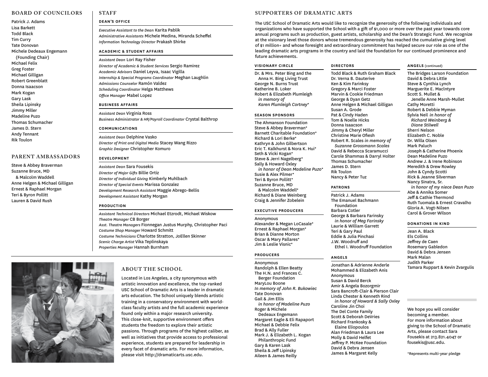# **BOARD OF COUNCILORS**

Patrick J. Adams Lisa Barkett Todd Black Tim Curry Tate Donovan Michele Dedeaux Engemann (Founding Chair) Michael Felix Greg Foster Michael Gilligan Robert Greenblatt Donna Isaacson Mark Kogan Gary Lask Sheila Lipinsky Jimmy Miller Madeline Puzo Thomas Schumacher James D. Stern Andy Tennant Rik Toulon

# **PARENT AMBASSADORS**

Steve & Abbey Braverman Suzanne Bruce, MD & Malcolm Waddell Anne Helgen & Michael Gilligan Ernest & Raphael Morgan Teri & Byron Pollitt Lauren & David Rush

# **STAFF DEAN'S OFFICE**

*Executive Assistant to the Dean* Karita Pablik *Administrative Assistants* Michele Medina, Miranda Scheffel *Information Technology Director* Prakash Shirke

# **ACADEMIC & STUDENT AFFAIRS**

*Assistant Dean* Lori Ray Fisher *Director of Academic & Student Services* Sergio Ramirez *Academic Advisors* Daniel Leyva, Isaac Vigilla *Internship & Special Programs Coordinator* Meghan Laughlin *Admissions Counselor* Ramón Valdez *Scheduling Coordinator* Helga Matthews *Office Manager* Mabel Lopez

# **BUSINESS AFFAIRS**

*Assistant Dean* Virginia Ross *Business Administrator & HR/Payroll Coordinator* Crystal Balthrop

## **COMMUNICATIONS**

*Assistant Dean* Delphine Vasko *Director of Print and Digital Media* Stacey Wang Rizzo *Graphic Designer* Christopher Komuro

# **DEVELOPMENT**

*Assistant Dean* Sara Fousekis *Director of Major Gifts* Billie Ortiz *Director of Individual Giving* Kimberly Muhlbach *Director of Special Events* Marissa Gonzalez *Development Research Assistant* Maggie Abrego-Bellis *Development Assistant* Kathy Morgan

# **PRODUCTION**

*Assistant Technical Directors* Michael Etzrodt, Michael Wiskow *Theatre Manager* CB Borger *Asst. Theatre Managers* Fionnegan Justus Murphy, Christopher Paci *Costume Shop Manager* Howard Schmitt *Costume Technicians* Charlotte Stratton, JoEllen Skinner *Scenic Charge Artist* Vika Teplinskaya *Properties Manager* Hannah Burnham

# **ABOUT THE SCHOOL**

Located in Los Angeles, a city synonymous with artistic innovation and excellence, the top-ranked USC School of Dramatic Arts is a leader in dramatic arts education. The School uniquely blends artistic training in a conservatory environment with worldclass faculty artists and the full academic experience found only within a major research university. This close-knit, supportive environment offers students the freedom to explore their artistic passions. Through programs of the highest caliber, as well as initiatives that provide access to professional experience, students are prepared for leadership in every facet of dramatic arts. For more information, please visit http://dramaticarts.usc.edu.

# **SUPPORTERS OF DRAMATIC ARTS**

The USC School of Dramatic Arts would like to recognize the generosity of the following individuals and organizations who have supported the School with a gift of \$1,000 or more over the past year towards core annual programs such as production, guest artists, scholarship and the Dean's Strategic Fund. We recognize at the visionary level those donors whose tremendous generosity has reached the cumulative giving level of \$1 million+ and whose foresight and extraordinary commitment has helped secure our role as one of the leading dramatic arts programs in the country and laid the foundation for our continued prominence and future achievements.

Todd Black & Ruth Graham Black

# **VISIONARY CIRCLE**

Dr. & Mrs. Peter Bing and the Anna H. Bing Living Trust George N. Burns Trust Katherine B. Loker Robert & Elizabeth Plumleigh *in memory of Karen Plumleigh Cortney*\*

# **SEASON SPONSORS**

The Ahmanson Foundation Steve & Abbey Braverman\* Barnett Charitable Foundation\* Richard & Lori Berke\* Kathryn & John Gilbertson Eric T. Kalkhurst & Nora K. Hui\* Seth & Vicki Kogan\* Steve & Jerri Nagelberg\* Sally & Howard Oxley *in honor of Dean Madeline Puzo*\* Susie & Alex Pilmer\* Teri & Byron Pollitt\* Suzanne Bruce, MD & Malcolm Waddell\* Richard & Diane Weinberg Craig & Jennifer Zobelein

# **EXECUTIVE PRODUCERS**

Anonymous Alexander & Megan LoCasale\* Ernest & Raphael Morgan\* Brian & Dianne Morton Oscar & Mary Pallares\* Jim & Leslie Visnic\*

# **PRODUCERS**

Anonymous Randolph & Ellen Beatty The H.N. and Frances C. Berger Foundation MaryLou Boone *In memory of John R. Bukowiec* Tate Donovan Gail & Jim Ellis *in honor of Madeline Puzo* Roger & Michele Dedeaux Engemann Margaret Eagle & Eli Rapaport Michael & Debbie Felix Brad & Ally Fuller Mark J. & Elizabeth L. Kogan Philanthropic Fund Gary & Karen Lask Sheila & Jeff Lipinsky Aileen & James Reilly

# **DIRECTORS**

Dr. Verna B. Dauterive Ken & Kim Farinksy Gregory & Marci Foster Marvin & Cookie Friedman George & Dyan Getz Anne Helgen & Michael Gilligan Susan A. Grode Pat & Cindy Haden Tom & Noelle Hicks Donna Isaacson Jimmy & Cheryl Miller Christine Marie Ofiesh Robert R. Scales *in memory of Suzanne Grossmann Scales* David & Rebecca Scaramucci Carole Shammas & Darryl Holter Thomas Schumacher James D. Stern Rik Toulon Nancy & Peter Tuz

# **PATRONS**

Patrick J. Adams The Emanuel Bachmann Foundation Barbara Cotler George & Barbara Farinsky *in honor of Meg Farinsky* Laurie & William Garrett Teri & Gary Paul Eddie & Julia Pinchasi J.W. Woodruff and Ethel I. Woodruff Foundation

# **ANGELS**

Jonathan & Adrienne Anderle Mohammed & Elizabeth Anis Anonymous Susan & David Berck Amir & Angela Bozorgmir Sara Bancroft-Clair & Pierson Clair Linda Chester & Kenneth Rind *in honor of Howard & Sally Oxley* Caroline Jin Choi The Del Conte Family Scott & Deborah DeVries Richard Frankosky & Elaine Eliopoulos Alan Friedman & Laura Lee Molly & David Helfet Jeffrey P. McKee Foundation David & Debra Jensen James & Margaret Kelly

# **ANGELS** (continued)

The Bridges Larson Foundation David & Debra Little Steve & Cynthia Lynch Marguerite E. Maclntyre Scott S. Mullet & Jenelle Anne Marsh-Mullet Cathy Moretti Robert & Debbie Myman Sylvia Neil *in honor of Richard Weinberg & Diane Stilwell* Sherri Nelson Elizabeth C. Noble Dr. Willa Olsen Mark Paluch Joseph & Catherine Phoenix Dean Madeline Puzo Andrew J. & Irene Robinson Meredith & Drew Rowley John & Cyndy Scotti Rick & Jeanne Silverman Nancy Sinatra, Sr. *in honor of my niece Dean Puzo* Abe & Annika Somer Jeff & Cathie Thermond Ruth Tuomala & Ernest Cravalho Gloria A. Vogt-Nilsen Carol & Grover Wilson

## **DONATIONS IN KIND**

Jean A. Black Els Collins Jeffrey de Caen Rosemary Gabledon David & Debra Jensen Mark Malan Judith Parker Tamara Ruppart & Kevin Zvargulis

We hope you will consider becoming a member. For more information about giving to the School of Dramatic Arts, please contact Sara Fousekis at 213.821.4047 or fousekis@usc.edu.

\*Represents multi-year pledge